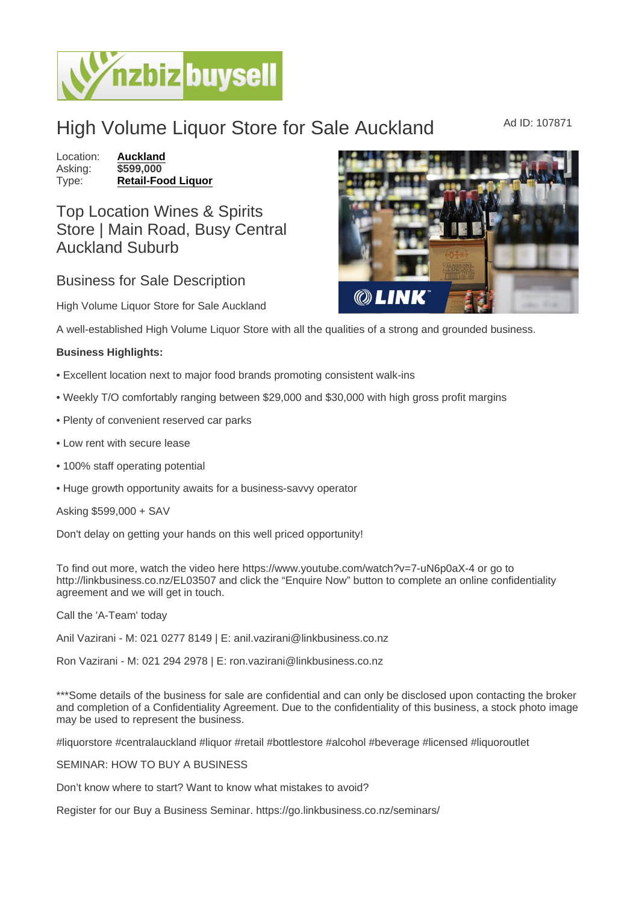## High Volume Liquor Store for Sale Auckland Ad ID: 107871

Location: [Auckland](https://www.nzbizbuysell.co.nz/businesses-for-sale/location/Auckland) Asking: \$599,000<br>Type: Retail-Foo [Retail-Food Liquor](https://www.nzbizbuysell.co.nz/businesses-for-sale/Retail-Food-Liquor/New-Zealand)

## Top Location Wines & Spirits Store | Main Road, Busy Central Auckland Suburb

## Business for Sale Description

High Volume Liquor Store for Sale Auckland

A well-established High Volume Liquor Store with all the qualities of a strong and grounded business.

Business Highlights:

- Excellent location next to major food brands promoting consistent walk-ins
- Weekly T/O comfortably ranging between \$29,000 and \$30,000 with high gross profit margins
- Plenty of convenient reserved car parks
- Low rent with secure lease
- 100% staff operating potential
- Huge growth opportunity awaits for a business-savvy operator

Asking \$599,000 + SAV

Don't delay on getting your hands on this well priced opportunity!

To find out more, watch the video here https://www.youtube.com/watch?v=7-uN6p0aX-4 or go to http://linkbusiness.co.nz/EL03507 and click the "Enquire Now" button to complete an online confidentiality agreement and we will get in touch.

Call the 'A-Team' today

Anil Vazirani - M: 021 0277 8149 | E: anil.vazirani@linkbusiness.co.nz

Ron Vazirani - M: 021 294 2978 | E: ron.vazirani@linkbusiness.co.nz

\*\*\*Some details of the business for sale are confidential and can only be disclosed upon contacting the broker and completion of a Confidentiality Agreement. Due to the confidentiality of this business, a stock photo image may be used to represent the business.

#liquorstore #centralauckland #liquor #retail #bottlestore #alcohol #beverage #licensed #liquoroutlet

SEMINAR: HOW TO BUY A BUSINESS

Don't know where to start? Want to know what mistakes to avoid?

Register for our Buy a Business Seminar. https://go.linkbusiness.co.nz/seminars/